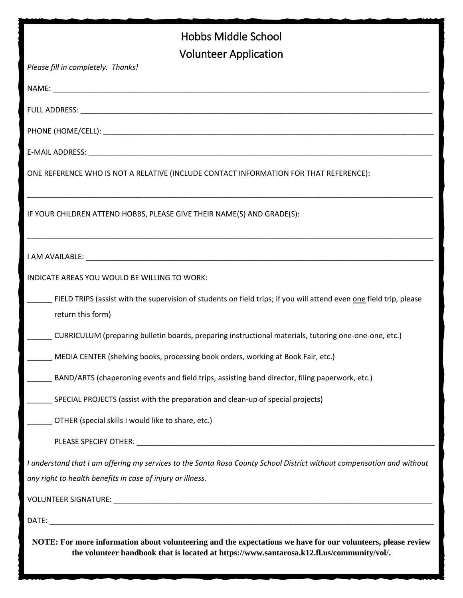| Hobbs Middle School                                                                                                                                                                                       |
|-----------------------------------------------------------------------------------------------------------------------------------------------------------------------------------------------------------|
| <b>Volunteer Application</b>                                                                                                                                                                              |
| Please fill in completely. Thanks!                                                                                                                                                                        |
|                                                                                                                                                                                                           |
|                                                                                                                                                                                                           |
|                                                                                                                                                                                                           |
|                                                                                                                                                                                                           |
| ONE REFERENCE WHO IS NOT A RELATIVE (INCLUDE CONTACT INFORMATION FOR THAT REFERENCE):                                                                                                                     |
| IF YOUR CHILDREN ATTEND HOBBS, PLEASE GIVE THEIR NAME(S) AND GRADE(S):                                                                                                                                    |
|                                                                                                                                                                                                           |
| INDICATE AREAS YOU WOULD BE WILLING TO WORK:                                                                                                                                                              |
| FIELD TRIPS (assist with the supervision of students on field trips; if you will attend even <u>one</u> field trip, please<br>return this form)                                                           |
| CURRICULUM (preparing bulletin boards, preparing instructional materials, tutoring one-one-one, etc.)                                                                                                     |
| MEDIA CENTER (shelving books, processing book orders, working at Book Fair, etc.)                                                                                                                         |
| BAND/ARTS (chaperoning events and field trips, assisting band director, filing paperwork, etc.)                                                                                                           |
| SPECIAL PROJECTS (assist with the preparation and clean-up of special projects)                                                                                                                           |
| OTHER (special skills I would like to share, etc.)                                                                                                                                                        |
|                                                                                                                                                                                                           |
| I understand that I am offering my services to the Santa Rosa County School District without compensation and without<br>any right to health benefits in case of injury or illness.                       |
|                                                                                                                                                                                                           |
|                                                                                                                                                                                                           |
| NOTE: For more information about volunteering and the expectations we have for our volunteers, please review<br>the volunteer handbook that is located at https://www.santarosa.k12.fl.us/community/vol/. |